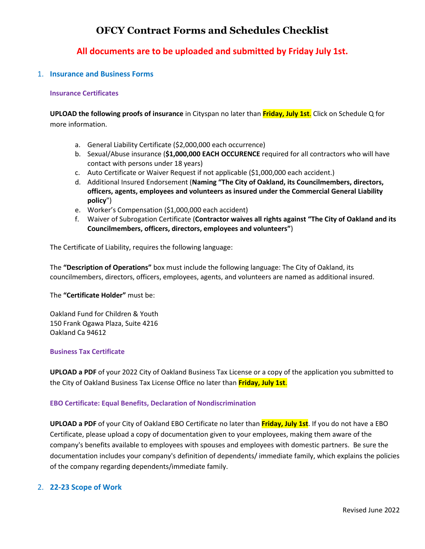# **OFCY Contract Forms and Schedules Checklist**

## **All documents are to be uploaded and submitted by Friday July 1st.**

## 1. **Insurance and Business Forms**

## **Insurance Certificates**

**UPLOAD the following proofs of insurance** in Cityspan no later than **Friday, July 1st**. Click on Schedule Q for more information.

- a. General Liability Certificate (\$2,000,000 each occurrence)
- b. Sexual/Abuse insurance (**\$1,000,000 EACH OCCURENCE** required for all contractors who will have contact with persons under 18 years)
- c. Auto Certificate or Waiver Request if not applicable (\$1,000,000 each accident.)
- d. Additional Insured Endorsement (**Naming "The City of Oakland, its Councilmembers, directors, officers, agents, employees and volunteers as insured under the Commercial General Liability policy**")
- e. Worker's Compensation (\$1,000,000 each accident)
- f. Waiver of Subrogation Certificate (**Contractor waives all rights against "The City of Oakland and its Councilmembers, officers, directors, employees and volunteers"**)

The Certificate of Liability, requires the following language:

The **"Description of Operations"** box must include the following language: The City of Oakland, its councilmembers, directors, officers, employees, agents, and volunteers are named as additional insured.

The **"Certificate Holder"** must be:

Oakland Fund for Children & Youth 150 Frank Ogawa Plaza, Suite 4216 Oakland Ca 94612

#### **Business Tax Certificate**

**UPLOAD a PDF** of your 2022 City of Oakland Business Tax License or a copy of the application you submitted to the City of Oakland Business Tax License Office no later than **Friday, July 1st**.

#### **EBO Certificate: Equal Benefits, Declaration of Nondiscrimination**

**UPLOAD a PDF** of your City of Oakland EBO Certificate no later than **Friday, July 1st**. If you do not have a EBO Certificate, please upload a copy of documentation given to your employees, making them aware of the company's benefits available to employees with spouses and employees with domestic partners. Be sure the documentation includes your company's definition of dependents/ immediate family, which explains the policies of the company regarding dependents/immediate family.

## 2. **22-23 Scope of Work**